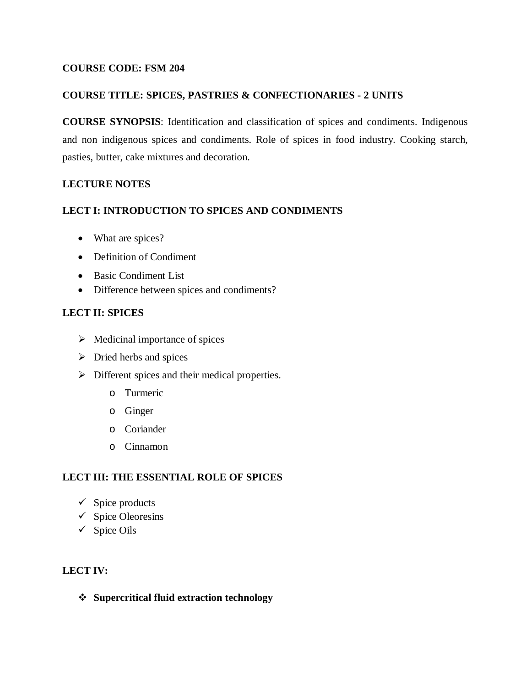### **COURSE CODE: FSM 204**

### **COURSE TITLE: SPICES, PASTRIES & CONFECTIONARIES - 2 UNITS**

**COURSE SYNOPSIS**: Identification and classification of spices and condiments. Indigenous and non indigenous spices and condiments. Role of spices in food industry. Cooking starch, pasties, butter, cake mixtures and decoration.

## **LECTURE NOTES**

### **LECT I: INTRODUCTION TO SPICES AND CONDIMENTS**

- What are spices?
- Definition of Condiment
- Basic Condiment List
- Difference between spices and condiments?

## **LECT II: SPICES**

- $\triangleright$  Medicinal importance of spices
- $\triangleright$  Dried herbs and spices
- $\triangleright$  Different spices and their medical properties.
	- o Turmeric
	- o Ginger
	- o Coriander
	- o Cinnamon

## **LECT III: THE ESSENTIAL ROLE OF SPICES**

- $\checkmark$  Spice products
- $\checkmark$  Spice Oleoresins
- $\checkmark$  Spice Oils

## **LECT IV:**

**Supercritical fluid extraction technology**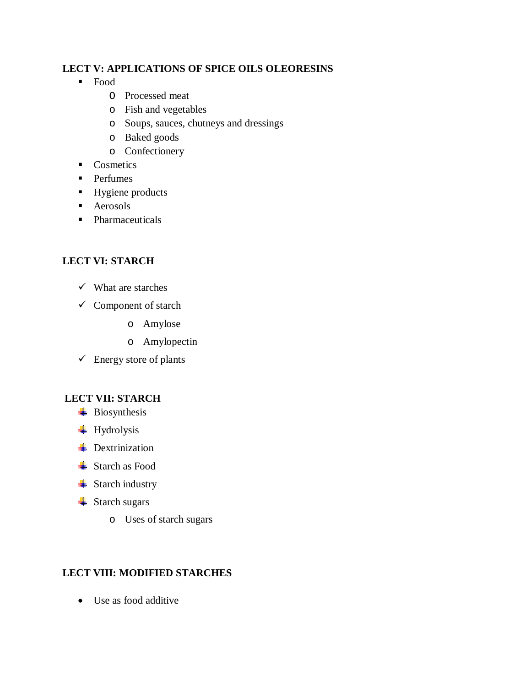## **LECT V: APPLICATIONS OF SPICE OILS OLEORESINS**

- Food
	- O Processed meat
	- o Fish and vegetables
	- o Soups, sauces, chutneys and dressings
	- o Baked goods
	- o Confectionery
- Cosmetics
- **Perfumes**
- Hygiene products
- **Aerosols**
- Pharmaceuticals

# **LECT VI: STARCH**

- $\checkmark$  What are starches
- $\checkmark$  Component of starch
	- o Amylose
	- o Amylopectin
- $\checkmark$  Energy store of plants

# **LECT VII: STARCH**

- **Biosynthesis**
- **Hydrolysis**
- **+** Dextrinization
- **Exerch** as Food
- $\overline{\phantom{a}}$  Starch industry
- **■** Starch sugars
	- o Uses of starch sugars

# **LECT VIII: MODIFIED STARCHES**

Use as food additive